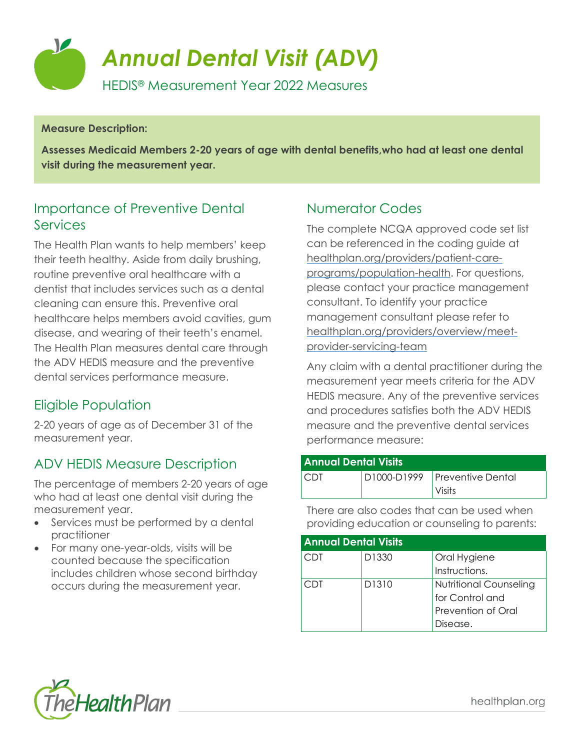

#### **Measure Description:**

**Assesses Medicaid Members 2-20 years of age with dental benefits,who had at least one dental visit during the measurement year.**

#### Importance of Preventive Dental **Services**

The Health Plan wants to help members' keep their teeth healthy. Aside from daily brushing, routine preventive oral healthcare with a dentist that includes services such as a dental cleaning can ensure this. Preventive oral healthcare helps members avoid cavities, gum disease, and wearing of their teeth's enamel. The Health Plan measures dental care through the ADV HEDIS measure and the preventive dental services performance measure.

#### Eligible Population

2-20 years of age as of December 31 of the measurement year.

#### ADV HEDIS Measure Description

The percentage of members 2-20 years of age who had at least one dental visit during the measurement year.

- Services must be performed by a dental practitioner
- For many one-year-olds, visits will be counted because the specification includes children whose second birthday occurs during the measurement year.

#### Numerator Codes

The complete NCQA approved code set list can be referenced in the coding guide at [healthplan.org/providers/patient-care](https://www.healthplan.org/providers/patient-care-programs/population-health)[programs/population-health.](https://www.healthplan.org/providers/patient-care-programs/population-health) For questions, please contact your practice management consultant. To identify your practice management consultant please refer to [healthplan.org/providers/overview/meet](https://healthplan.org/providers/overview/meet-provider-servicing-team)[provider-servicing-team](https://healthplan.org/providers/overview/meet-provider-servicing-team)

Any claim with a dental practitioner during the measurement year meets criteria for the ADV HEDIS measure. Any of the preventive services and procedures satisfies both the ADV HEDIS measure and the preventive dental services performance measure:

| Annual Dental Visits |  |                                 |  |
|----------------------|--|---------------------------------|--|
| <b>CDT</b>           |  | D1000-D1999   Preventive Dental |  |
|                      |  | Visits                          |  |

There are also codes that can be used when providing education or counseling to parents:

| <b>Annual Dental Visits</b> |       |                               |  |  |
|-----------------------------|-------|-------------------------------|--|--|
| CDT                         | D1330 | Oral Hygiene                  |  |  |
|                             |       | Instructions.                 |  |  |
| . TDT.                      | D1310 | <b>Nutritional Counseling</b> |  |  |
|                             |       | for Control and               |  |  |
|                             |       | Prevention of Oral            |  |  |
|                             |       | Disease.                      |  |  |



healthplan.org